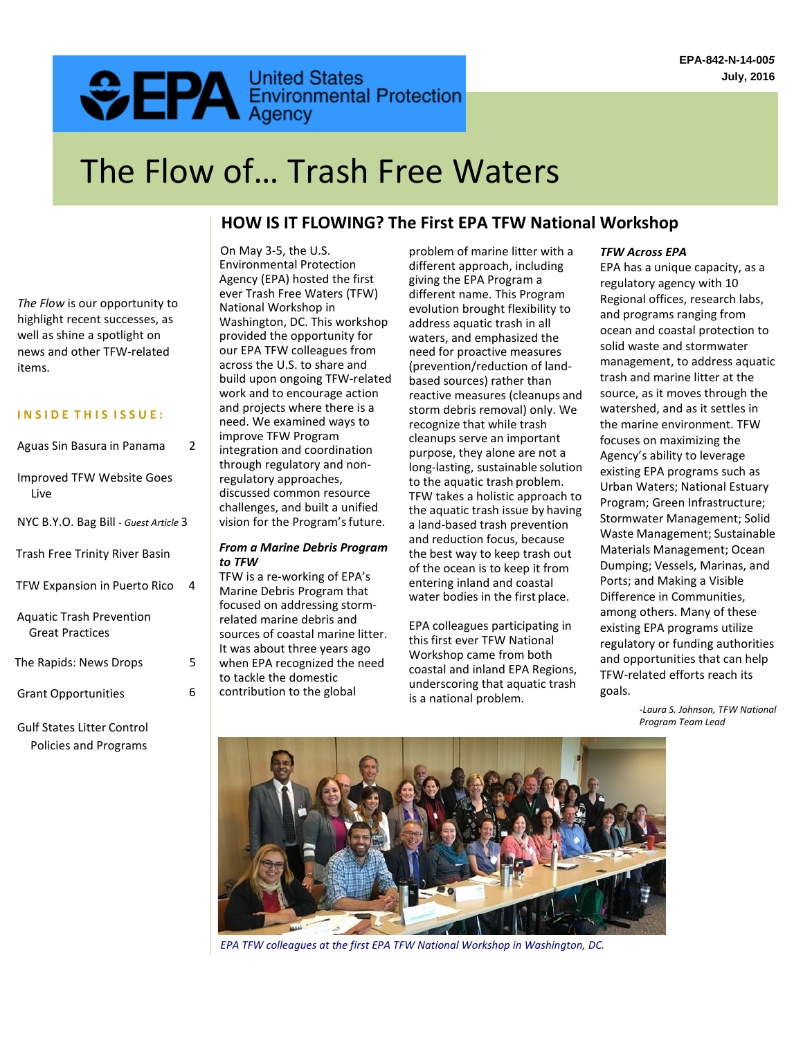# **CEPA** Environmental Protection

# The Flow of… Trash Free Waters

# **HOW IS IT FLOWING? The First EPA TFW National Workshop**

*The Flow* is our opportunity to highlight recent successes, as well as shine a spotlight on news and other TFW-related items.

#### **I N S I D E T H I S I S S U E :**

| Aguas Sin Basura in Panama                                | 2 |
|-----------------------------------------------------------|---|
| <b>Improved TFW Website Goes</b><br>Live                  |   |
| NYC B.Y.O. Bag Bill - Guest Article 3                     |   |
| Trash Free Trinity River Basin                            |   |
| <b>TFW Expansion in Puerto Rico</b>                       | Δ |
| <b>Aquatic Trash Prevention</b><br><b>Great Practices</b> |   |
| The Rapids: News Drops                                    | 5 |
| <b>Grant Opportunities</b>                                | 6 |
|                                                           |   |

Gulf States Litter Control Policies and Programs

On May 3-5, the U.S. Environmental Protection Agency (EPA) hosted the first ever Trash Free Waters (TFW) National Workshop in Washington, DC. This workshop provided the opportunity for our EPA TFW colleagues from across the U.S. to share and build upon ongoing TFW-related work and to encourage action and projects where there is a need. We examined ways to improve TFW Program integration and coordination through regulatory and nonregulatory approaches, discussed common resource challenges, and built a unified vision for the Program's future.

#### *From a Marine Debris Program to TFW*

TFW is a re-working of EPA's Marine Debris Program that focused on addressing stormrelated marine debris and sources of coastal marine litter. It was about three years ago when EPA recognized the need to tackle the domestic contribution to the global

problem of marine litter with a different approach, including giving the EPA Program a different name. This Program evolution brought flexibility to address aquatic trash in all waters, and emphasized the need for proactive measures (prevention/reduction of landbased sources) rather than reactive measures (cleanups and storm debris removal) only. We recognize that while trash cleanups serve an important purpose, they alone are not a long-lasting, sustainable solution to the aquatic trash problem. TFW takes a holistic approach to the aquatic trash issue by having a land-based trash prevention and reduction focus, because the best way to keep trash out of the ocean is to keep it from entering inland and coastal water bodies in the first place.

EPA colleagues participating in this first ever TFW National Workshop came from both coastal and inland EPA Regions, underscoring that aquatic trash is a national problem.

### *TFW Across EPA*

EPA has a unique capacity, as a regulatory agency with 10 Regional offices, research labs, and programs ranging from ocean and coastal protection to solid waste and stormwater management, to address aquatic trash and marine litter at the source, as it moves through the watershed, and as it settles in the marine environment. TFW focuses on maximizing the Agency's ability to leverage existing EPA programs such as Urban Waters; National Estuary Program; Green Infrastructure; Stormwater Management; Solid Waste Management; Sustainable Materials Management; Ocean Dumping; Vessels, Marinas, and Ports; and Making a Visible Difference in Communities, among others. Many of these existing EPA programs utilize regulatory or funding authorities and opportunities that can help TFW-related efforts reach its goals.

> *-Laura S. Johnson, TFW National Program Team Lead*

*EPA TFW colleagues at the first EPA TFW National Workshop in Washington, DC.*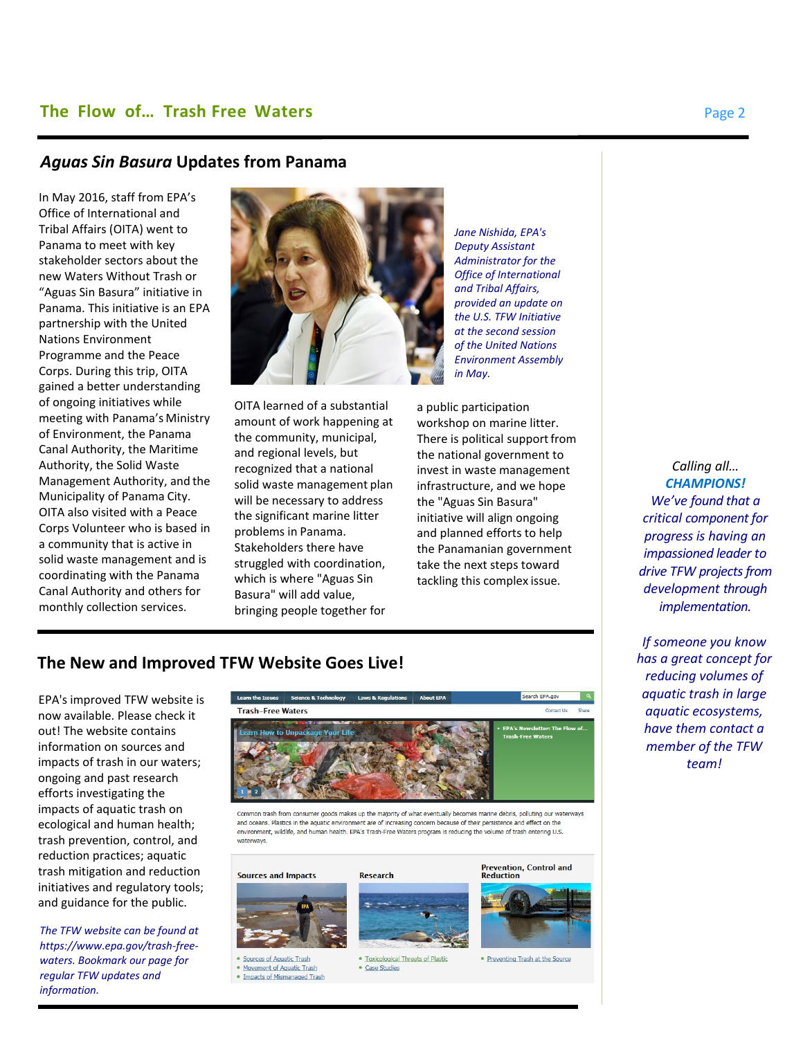# *Aguas Sin Basura* **Updates from Panama**

In May 2016, staff from EPA's Office of International and Tribal Affairs (OITA) went to Panama to meet with key stakeholder sectors about the new Waters Without Trash or "Aguas Sin Basura" initiative in Panama. This initiative is an EPA partnership with the United Nations Environment Programme and the Peace Corps. During this trip, OITA gained a better understanding of ongoing initiatives while meeting with Panama's Ministry of Environment, the Panama Canal Authority, the Maritime Authority, the Solid Waste Management Authority, and the Municipality of Panama City. OITA also visited with a Peace Corps Volunteer who is based in a community that is active in solid waste management and is coordinating with the Panama Canal Authority and others for monthly collection services.



OITA learned of a substantial amount of work happening at the community, municipal, and regional levels, but recognized that a national solid waste management plan will be necessary to address the significant marine litter problems in Panama. Stakeholders there have struggled with coordination, which is where "Aguas Sin Basura" will add value, bringing people together for

*Jane Nishida, EPA's Deputy Assistant Administrator for the Office of International and Tribal Affairs, provided an update on the U.S. TFW Initiative at the second session of the United Nations Environment Assembly in May.*

a public participation workshop on marine litter. There is political support from the national government to invest in waste management infrastructure, and we hope the "Aguas Sin Basura" initiative will align ongoing and planned efforts to help the Panamanian government take the next steps toward tackling this complex issue.

*CHAMPIONS! We've found that a critical component for progress is having an impassioned leader to drive TFW projects from development through implementation.*

*Calling all…*

*If someone you know has a great concept for reducing volumes of aquatic trash in large aquatic ecosystems, have them contact a member of the TFW team!*

# **The New and Improved TFW Website Goes Live!**

EPA's improved TFW website is now available. Please check it out! The website contains information on sources and impacts of trash in our waters; ongoing and past research efforts investigating the impacts of aquatic trash on ecological and human health; trash prevention, control, and reduction practices; aquatic trash mitigation and reduction initiatives and regulatory tools; and guidance for the public.

*The TFW website can be found at [https://www.epa.gov/trash-free](http://www.epa.gov/trash-free-)waters. Bookmark our page for regular TFW updates and information.*



and oceans. Plastics in the aquatic environment are of increasing concern because of their persistence and effect on the environment, wildlife, and human health. EPA's Trash-Free Waters program is reducing the volume of trash entering U.S. waterways.

# **Sources and Impacts**



Sources of Aquatic Trash

. Movement of Aquatic Trash . Impacts of Mismanaged Trash



· Toxicological Threats of Plasti · Case Studies

## **Prevention, Control and**<br>Reduction



. Preventing Trash at the Source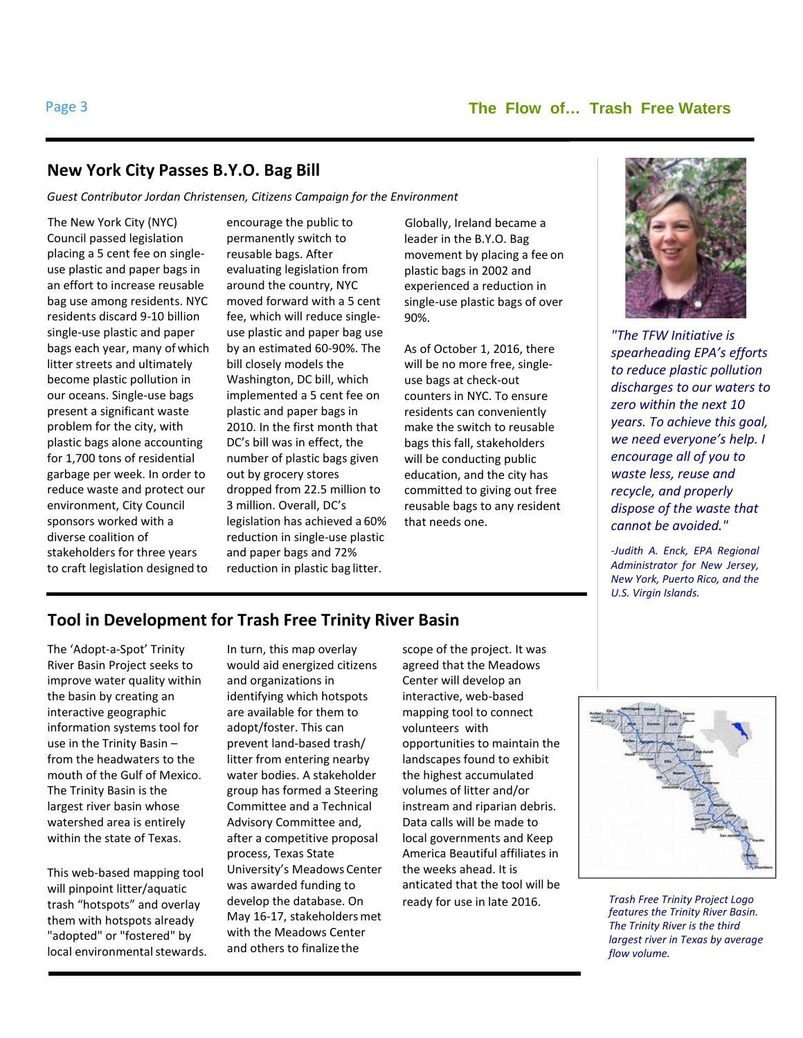# **New York City Passes B.Y.O. Bag Bill**

*Guest Contributor Jordan Christensen, Citizens Campaign for the Environment*

The New York City (NYC) Council passed legislation placing a 5 cent fee on singleuse plastic and paper bags in an effort to increase reusable bag use among residents. NYC residents discard 9-10 billion single-use plastic and paper bags each year, many ofwhich litter streets and ultimately become plastic pollution in our oceans. Single-use bags present a significant waste problem for the city, with plastic bags alone accounting for 1,700 tons of residential garbage per week. In order to reduce waste and protect our environment, City Council sponsors worked with a diverse coalition of stakeholders for three years to craft legislation designed to

encourage the public to permanently switch to reusable bags. After evaluating legislation from around the country, NYC moved forward with a 5 cent fee, which will reduce singleuse plastic and paper bag use by an estimated 60-90%. The bill closely models the Washington, DC bill, which implemented a 5 cent fee on plastic and paper bags in 2010. In the first month that DC's bill was in effect, the number of plastic bags given out by grocery stores dropped from 22.5 million to 3 million. Overall, DC's legislation has achieved a 60% reduction in single-use plastic and paper bags and 72% reduction in plastic bag litter.

Globally, Ireland became a leader in the B.Y.O. Bag movement by placing a fee on plastic bags in 2002 and experienced a reduction in single-use plastic bags of over 90%.

As of October 1, 2016, there will be no more free, singleuse bags at check-out counters in NYC. To ensure residents can conveniently make the switch to reusable bags this fall, stakeholders will be conducting public education, and the city has committed to giving out free reusable bags to any resident that needs one.



*"The TFW Initiative is spearheading EPA's efforts to reduce plastic pollution [discharges to our waters to](https://www.epa.gov/trash-free-waters)  [zero within the next 10](https://www.epa.gov/trash-free-waters)  [years. To achieve this goal,](https://www.epa.gov/trash-free-waters)  [we need everyone's help. I](https://www.epa.gov/trash-free-waters)  [encourage all of you to](https://www.epa.gov/trash-free-waters)  [waste less, reuse and](https://www.epa.gov/trash-free-waters)  [recycle, and properly](https://www.epa.gov/trash-free-waters)  [dispose of the waste that](https://www.epa.gov/trash-free-waters)  [cannot be avoided."](https://www.epa.gov/trash-free-waters)*

*-Judith A. Enck, EPA Regional Administrator for New Jersey, New York, Puerto Rico, and the U.S. Virgin Islands.*

# **Tool in Development for Trash Free Trinity River Basin**

The 'Adopt-a-Spot' Trinity River Basin Project seeks to improve water quality within the basin by creating an interactive geographic information systems tool for use in the Trinity Basin – from the headwaters to the mouth of the Gulf of Mexico. The Trinity Basin is the largest river basin whose watershed area is entirely within the state of Texas.

This web-based mapping tool will pinpoint litter/aquatic trash "hotspots" and overlay them with hotspots already "adopted" or "fostered" by local environmental stewards. In turn, this map overlay would aid energized citizens and organizations in identifying which hotspots are available for them to adopt/foster. This can prevent land-based trash/ litter from entering nearby water bodies. A stakeholder group has formed a Steering Committee and a Technical Advisory Committee and, after a competitive proposal process, Texas State University's Meadows Center was awarded funding to develop the database. On May 16-17, stakeholders met with the Meadows Center and others to finalize the

scope of the project. It was agreed that the Meadows Center will develop an interactive, web-based mapping tool to connect volunteers with opportunities to maintain the landscapes found to exhibit the highest accumulated volumes of litter and/or instream and riparian debris. Data calls will be made to local governments and Keep America Beautiful affiliates in the weeks ahead. It is anticated that the tool will be ready for use in late 2016. *Trash Free Trinity Project Logo*



*features the Trinity River Basin. The Trinity River is the third largest river in Texas by average flow volume.*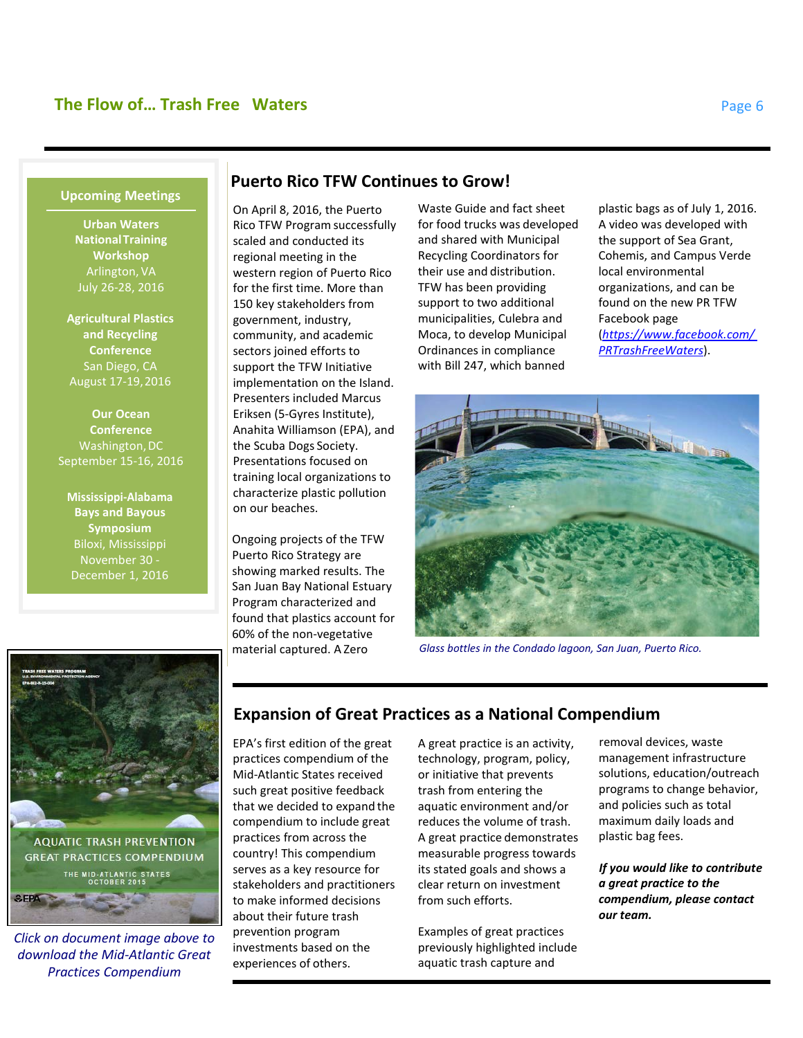#### **Upcoming Meetings**

**Urban Waters National Training Workshop**  Arlington, VA July 26-28, 2016

**Agricultural Plastics and Recycling Conference** San Diego, CA August 17-19,2016

**Our Ocean Conference**  Washington, DC September 15-16, 2016

**Mississippi-Alabama Bays and Bayous Symposium** Biloxi, Mississippi November 30 - December 1, 2016

### **Puerto Rico TFW Continues to Grow!**

On April 8, 2016, the Puerto Rico TFW Program successfully scaled and conducted its regional meeting in the western region of Puerto Rico for the first time. More than 150 key stakeholders from government, industry, community, and academic sectors joined efforts to support the TFW Initiative implementation on the Island. Presenters included Marcus Eriksen (5-Gyres Institute), Anahita Williamson (EPA), and the Scuba Dogs Society. Presentations focused on training local organizations to characterize plastic pollution on our beaches.

Ongoing projects of the TFW Puerto Rico Strategy are showing marked results. The San Juan Bay National Estuary Program characterized and found that plastics account for 60% of the non-vegetative material captured. A Zero

Waste Guide and fact sheet for food trucks was developed and shared with Municipal Recycling Coordinators for their use and distribution. TFW has been providing support to two additional municipalities, Culebra and Moca, to develop Municipal Ordinances in compliance with Bill 247, which banned

plastic bags as of July 1, 2016. A video was developed with the support of Sea Grant, Cohemis, and Campus Verde local environmental organizations, and can be found on the new PR TFW Facebook page (*[https://www.facebook.com/](http://www.facebook.com/) PRTrashFreeWaters*).



*Glass bottles in the Condado lagoon, San Juan, Puerto Rico.*



*Click on document image above to download the Mid-Atlantic Great Practices Compendium*

# **Expansion of Great Practices as a National Compendium**

EPA's first edition of the great practices compendium of the Mid-Atlantic States received such great positive feedback that we decided to expand the compendium to include great practices from across the country! This compendium serves as a key resource for stakeholders and practitioners to make informed decisions about their future trash prevention program investments based on the experiences of others.

A great practice is an activity, technology, program, policy, or initiative that prevents trash from entering the aquatic environment and/or reduces the volume of trash. A great practice demonstrates measurable progress towards its stated goals and shows a clear return on investment from such efforts.

Examples of great practices previously highlighted include aquatic trash capture and

removal devices, waste management infrastructure solutions, education/outreach programs to change behavior, and policies such as total maximum daily loads and plastic bag fees.

*If you would like to contribute a great practice to the compendium, please contact our team.*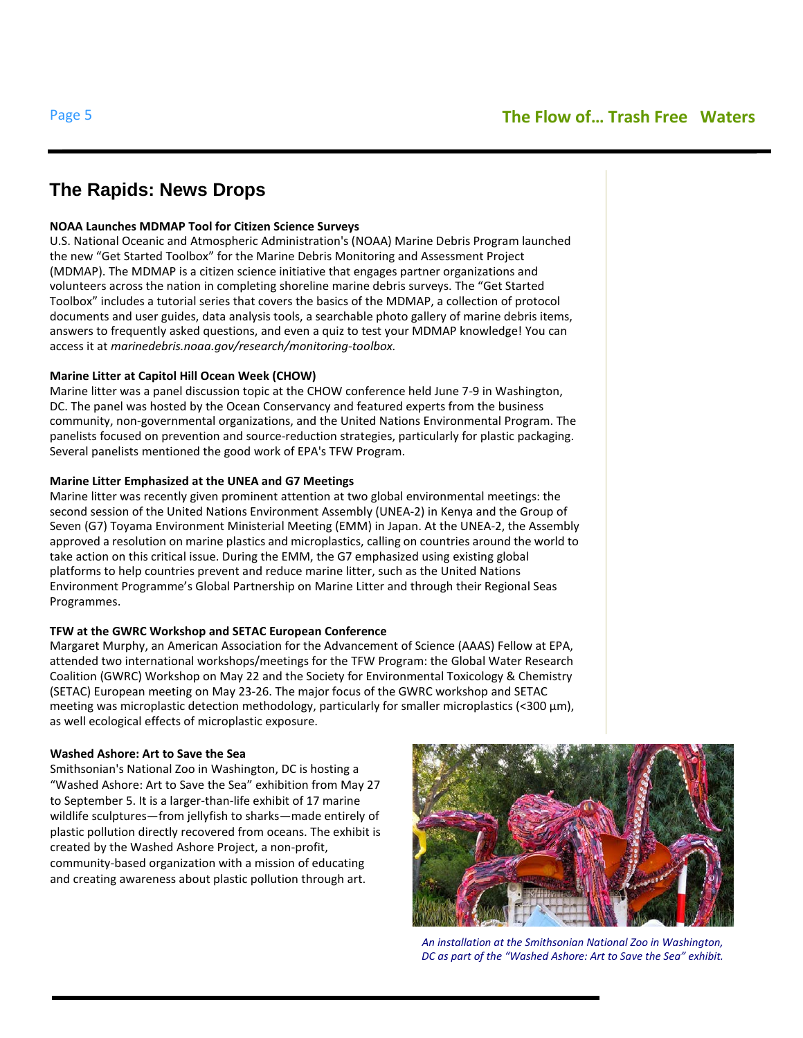# **The Rapids: News Drops**

#### **NOAA Launches MDMAP Tool for Citizen Science Surveys**

U.S. National Oceanic and Atmospheric Administration's (NOAA) Marine Debris Program launched the new "Get Started Toolbox" for the Marine Debris Monitoring and Assessment Project (MDMAP). The MDMAP is a citizen science initiative that engages partner organizations and volunteers across the nation in completing shoreline marine debris surveys. The "Get Started Toolbox" includes a tutorial series that covers the basics of the MDMAP, a collection of protocol documents and user guides, data analysis tools, a searchable photo gallery of marine debris items, answers to frequently asked questions, and even a quiz to test your MDMAP knowledge! You can access it at *marinedebris.noaa.gov/research/monitoring-toolbox.*

#### **Marine Litter at Capitol Hill Ocean Week (CHOW)**

Marine litter was a panel discussion topic at the CHOW conference held June 7-9 in Washington, DC. The panel was hosted by the Ocean Conservancy and featured experts from the business community, non-governmental organizations, and the United Nations Environmental Program. The panelists focused on prevention and source-reduction strategies, particularly for plastic packaging. Several panelists mentioned the good work of EPA's TFW Program.

#### **Marine Litter Emphasized at the UNEA and G7 Meetings**

Marine litter was recently given prominent attention at two global environmental meetings: the second session of the United Nations Environment Assembly (UNEA-2) in Kenya and the Group of Seven (G7) Toyama Environment Ministerial Meeting (EMM) in Japan. At the UNEA-2, the Assembly approved a resolution on marine plastics and microplastics, calling on countries around the world to take action on this critical issue. During the EMM, the G7 emphasized using existing global platforms to help countries prevent and reduce marine litter, such as the United Nations Environment Programme's Global Partnership on Marine Litter and through their Regional Seas Programmes.

#### **TFW at the GWRC Workshop and SETAC European Conference**

Margaret Murphy, an American Association for the Advancement of Science (AAAS) Fellow at EPA, attended two international workshops/meetings for the TFW Program: the Global Water Research Coalition (GWRC) Workshop on May 22 and the Society for Environmental Toxicology & Chemistry (SETAC) European meeting on May 23-26. The major focus of the GWRC workshop and SETAC meeting was microplastic detection methodology, particularly for smaller microplastics (<300  $\mu$ m), as well ecological effects of microplastic exposure.

#### **Washed Ashore: Art to Save the Sea**

Smithsonian's National Zoo in Washington, DC is hosting a "Washed Ashore: Art to Save the Sea" exhibition from May 27 to September 5. It is a larger-than-life exhibit of 17 marine wildlife sculptures—from jellyfish to sharks—made entirely of plastic pollution directly recovered from oceans. The exhibit is created by the Washed Ashore Project, a non-profit, community-based organization with a mission of educating and creating awareness about plastic pollution through art.



*An installation at the Smithsonian National Zoo in Washington, DC as part of the "Washed Ashore: Art to Save the Sea" exhibit.*